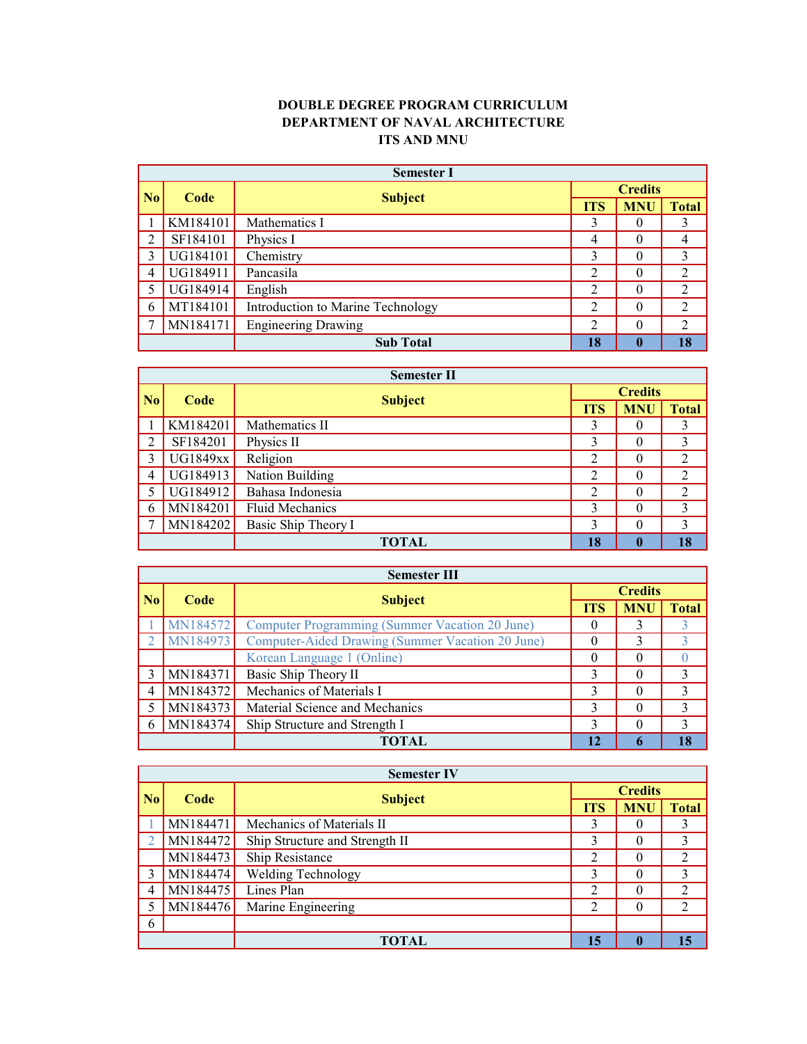## **DOUBLE DEGREE PROGRAM CURRICULUM DEPARTMENT OF NAVAL ARCHITECTURE ITS AND MNU**

|                             | <b>Semester I</b> |                                   |                |              |                |  |  |  |
|-----------------------------|-------------------|-----------------------------------|----------------|--------------|----------------|--|--|--|
| $\overline{\phantom{a}}$ No | Code              | <b>Subject</b>                    | <b>Credits</b> |              |                |  |  |  |
|                             |                   |                                   | <b>ITS</b>     | <b>MNU</b>   | <b>Total</b>   |  |  |  |
|                             | KM184101          | Mathematics I                     | 3              | $\Omega$     | 3              |  |  |  |
|                             | SF184101          | Physics I                         | $\overline{4}$ |              | 4              |  |  |  |
| 3                           | UG184101          | Chemistry                         | 3              | $\theta$     | 3              |  |  |  |
| 4                           | UG184911          | Pancasila                         | $\overline{2}$ | $\Omega$     | $\mathfrak{D}$ |  |  |  |
|                             | UG184914          | English                           | 2              |              | 2              |  |  |  |
| 6                           | MT184101          | Introduction to Marine Technology | $\overline{2}$ | $\theta$     | 2              |  |  |  |
|                             | MN184171          | <b>Engineering Drawing</b>        | $\overline{2}$ | $\theta$     | 2              |  |  |  |
|                             |                   | <b>Sub Total</b>                  | 18             | $\mathbf{0}$ | 18             |  |  |  |

|           | <b>Semester II</b> |                        |                |              |              |  |  |  |
|-----------|--------------------|------------------------|----------------|--------------|--------------|--|--|--|
| <b>No</b> | Code               |                        | <b>Credits</b> |              |              |  |  |  |
|           |                    | <b>Subject</b>         | <b>ITS</b>     | <b>MNU</b>   | <b>Total</b> |  |  |  |
|           | KM184201           | Mathematics II         | 3              | $\theta$     | 3            |  |  |  |
|           | SF184201           | Physics II             | 3              | $\theta$     | 3            |  |  |  |
| 3         | <b>UG1849xx</b>    | Religion               | $\overline{2}$ | $\theta$     | 2            |  |  |  |
| 4         | UG184913           | Nation Building        | 2              | $\theta$     | 2            |  |  |  |
|           | UG184912           | Bahasa Indonesia       | $\overline{2}$ | $\theta$     | 2            |  |  |  |
| 6         | MN184201           | <b>Fluid Mechanics</b> | 3              | $\theta$     | 3            |  |  |  |
|           | MN184202           | Basic Ship Theory I    | 3              | $\theta$     | 3            |  |  |  |
|           |                    | <b>TOTAL</b>           | 18             | $\mathbf{0}$ | 18           |  |  |  |

|      | <b>Semester III</b> |                                                  |                |            |               |  |  |  |
|------|---------------------|--------------------------------------------------|----------------|------------|---------------|--|--|--|
| l No | Code                |                                                  | <b>Credits</b> |            |               |  |  |  |
|      |                     | <b>Subject</b>                                   | <b>ITS</b>     | <b>MNU</b> | <b>Total</b>  |  |  |  |
|      | MN184572            | Computer Programming (Summer Vacation 20 June)   |                | 3          |               |  |  |  |
|      | MN184973            | Computer-Aided Drawing (Summer Vacation 20 June) | $\theta$       | 3          | 3             |  |  |  |
|      |                     | Korean Language 1 (Online)                       | $\theta$       |            |               |  |  |  |
| 3    | MN184371            | Basic Ship Theory II                             | 3              | $\theta$   | $\mathcal{E}$ |  |  |  |
| 4    | MN184372            | Mechanics of Materials I                         | 3              |            | 3             |  |  |  |
|      | MN184373            | Material Science and Mechanics                   | 3              | $\Omega$   | 3             |  |  |  |
| 6    | MN184374            | Ship Structure and Strength I                    | 3              | $\Omega$   | 3             |  |  |  |
|      |                     | <b>TOTAL</b>                                     | 12             | 6          | 18            |  |  |  |

|                | <b>Semester IV</b> |                                |                |              |    |  |  |  |
|----------------|--------------------|--------------------------------|----------------|--------------|----|--|--|--|
| N <sub>0</sub> | Code               | <b>Subject</b>                 | <b>Credits</b> |              |    |  |  |  |
|                |                    | <b>ITS</b>                     | <b>MNU</b>     | <b>Total</b> |    |  |  |  |
|                | MN184471           | Mechanics of Materials II      | 3              | O            | 3  |  |  |  |
|                | MN184472           | Ship Structure and Strength II | 3              | $\theta$     | 3  |  |  |  |
|                | MN184473           | Ship Resistance                | 2              | $\theta$     | 2  |  |  |  |
|                | MN184474           | Welding Technology             | 3              | $\theta$     | 3  |  |  |  |
| 4              | MN184475           | Lines Plan                     | 2              | $\theta$     | 2  |  |  |  |
|                | MN184476           | Marine Engineering             | 2              | $\theta$     | 2  |  |  |  |
| 6              |                    |                                |                |              |    |  |  |  |
|                |                    | <b>TOTAL</b>                   | 15             | $\mathbf 0$  | 15 |  |  |  |